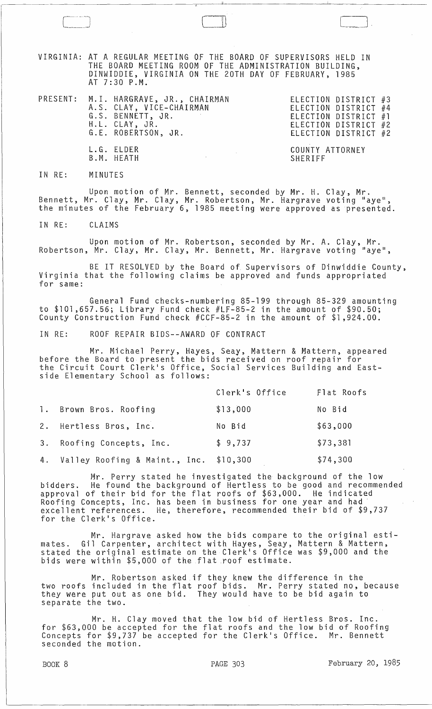VIRGINIA: AT A REGULAR MEETING QF THE BOARD OF SUPERVISORS HELD IN THE BOARD MEETING ROOM Of THE ADMINISTRATION BUILDING, DINWIDDIE, VIRGINIA ON THE 20TH DAY OF FEBRUARY, 1985 AT 7:30 P.M.

PRESENT: M. I. HARGRAVE, JR., CHAIRMAN A.S. CLAY, VICE-CHAIRMAN G.S. BENNETT, JR. H.L. CLAY, JR. G.L ROBERTSON, JR. L.G. ELDER B.M. HEATH ELECTION DISTRICT #3 ELECTION DISTRICT #4 ELECTION DISTRICT #1 ELECTION DISTRICT #2 ELECTION DISTRICT #2 COUNTY ATTORNEY SHERIFF

IN RE: MINUTES

Upon motion of Mr. Bennett, seconded by Mr. H. Clay, Mr. Bennett, Mr. Clay, Mr. Clay, Mr. Robertson, Mr. Hargrave voting "aye", the minutes of the February 6, 1985 meeting were approved as presented.

IN RE: CLAIMS

Upon motion of Mr. Robertson, seconded by Mr. A. Clay, Mr. Robertson, Mr. Clay, Mr. Clay, Mr. Bennett, Mr. Hargrave voting "aye",

BE IT RESOLVED by the Board of Supervisors of Dinwiddie County, Virginia that the following claims be approved and funds appropriated for same:

General Fund checks-numbering 85-199 through 85-329 amounting to \$101,657.56; Library Fund check #LF-85-2 in the amount of \$90.50; County Construction Fund check #CCF-85-2 in the amount of \$1,924.00.

IN RE: ROOF REPAIR BIDS--AWARD OF CONTRACT

Mr. Michael Perry, Hayes, Seay, Mattern & Mattern, appeared before the Board to present the bids received on roof repair for the Circuit Court Clerk1s Office, Social Services Building and Eastside Elementary School as follows:

|                                  | Clerk's Office | Flat Roofs |
|----------------------------------|----------------|------------|
| 1. Brown Bros. Roofing           | \$13,000       | No Bid     |
| 2. Hertless Bros, Inc.           | No Bid         | \$63,000   |
| 3. Roofing Concepts, Inc.        | \$9,737        | \$73,381   |
| 4. Valley Roofing & Maint., Inc. | \$10,300       | \$74,300   |

Mr. Perry stated he investigated the background of the low bidders. He found the background of Hertless to be good and recommended approval of their bid for the flat roofs of \$63,000. He indicated Roofing Concepts, Inc. has been in business for one year and had' excellent references. He, therefore, recommended their bid of \$9,737 for the Clerk's Office.

Mr. Hargrave asked how the bids compare to the original estimates. Gil Carpenter, architect with Hayes, Seay, Mattern & Mattern, stated the original estimate on the Clerk1s Office was \$9,000 and the bids were within \$5,000 of the flat ,roof estimate.

Mr. Robertson asked if they knew the difference in the two roofs included in the flat roof bids. Mr. Perry stated no, because they were put out as one bid. They would have to be bid again to separate the two.

 $Mr.$  H. Clay moved that the low bid of Hertless Bros. Inc. for \$63,000 be accepted for the flat roofs and the low bid of Roofing Concepts for \$9,737 be accepted for the Clerk's Office. Mr. Bennett seconded the motion.

BOOK 8 **PAGE 303 PAGE 303 February 20, 1985** 

LJ,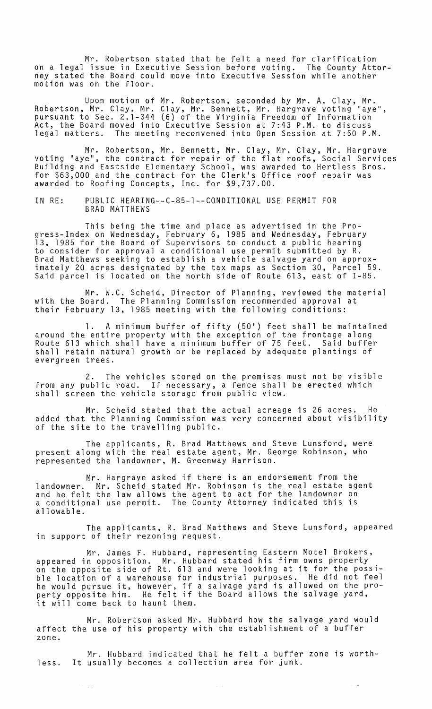Mr. Robertson stated that he felt a need for clarification on a legal issue in Executive Session before voting. The County Attorney stated the Board could *move* into Executive Session while another motion was on the floor.

Upon motion of Mr. Robertson, seconded by Mr. A. Clay, Mr. Robertson, Mr. Clay, Mr. Clay, Mr. Bennett, Mr. Hargrave voting "aye", pursuant to Sec. 2.1-344 (6) of the Virginia Freedom of Information Act, the Board moved into Executive Session at 7:43 P.M. to discuss legal matters. The meeting reconvened into Open Session at 7:50 P.M.

Mr. Robertson, Mr. Bennett, Mr. Clay, Mr. Clay, Mr. Hargrave voting "aye", the contract for repair of the flat roofs, Social Services Building and Eastside Elementary School, was awarded to Hertless Bros. for \$63,000 and the contract for the Clerkls Office roof repair was awarded to Roofing Concepts, Inc. for \$9,737.00.

IN RE: PUBLIC HEARING--C-85-1--CONDITIONAL USE PERMIT FOR BRAD MATTHEWS

This being the time and place as advertised in the Progress-Index on Wednesday, February 6, 1985 and Wednesday, February 13, 1985 for the Board of Supervisors to conduct a public hearing to consider for approval a conditional use permit submitted by R. Brad Matthews seeking to establish a vehicle salvage yard on approximately 20 acres designated by the tax maps as Section 30, Parcel 59. Said parcel is located on the north side of Route 613, east of 1-85.

Mr. W.C. Scheid, Director of Planning, reviewed the material with the Board. The Planning Commission recommended approval at their February 13, 1985 meeting with the following conditions:

1. A minimum buffer of fifty (50') feet shall be maintained around the entire property with the exception of the frontage along Route 613 which shall have a minimum buffer of 75 feet. Said buffer shall retain natural growth or be replaced by adequate plantings of evergreen trees.

2. The vehicles stored on the premises must not be visible from any public road. If necessary, a fence shall be erected which shall screen the vehicle storage from public view.

Mr. Scheid stated that the actual acreage is 26 acres. He added that the Planning Commission was very concerned about visibility of the site to the travelling public.

The applicants, R. Brad Matthews and Steve Lunsford, were present along with the real estate agent, Mr. George Robinson, who represented the landowner, M. Greenway Harrison.

Mr. Hargrave asked if there is an endorsement from the landowner. Mr. Scheid stated Mr. Robinson is the real estate agent and he felt the law allows the agent to act for the landowner on a conditional use permit. The County Attorney indicated this is allowable.

The applicants, R. Brad Matthews and Steve Lunsford, appeared in support of their rezoning request.

Mr. James F. Hubbard, representing Eastern Motel Brokers, appeared in opposition. Mr. Hubbard stated his firm owns property on the opposite side of Rt. 613 and were looking at it for the possible location of a warehouse for industrial purposes. He did not feel he would pursue it, however, if a salvage yard is allowed on the property opposite him. He felt if the Board allows the salvage yard, perty opposite find. He fort if<br>it will come back to haunt them.

Mr. Robertson asked Mr. Hubbard how the salvage yard would affect the use of his property with the establishment of a buffer zone.

Mr. Hubbard indicated that he felt a buffer zone is worthless. It usually becomes a collection area for junk.

 $\sim$   $^{-1}$ 

 $\tau = \tau \omega$ 

 $\hat{z}$  is  $\hat{z}$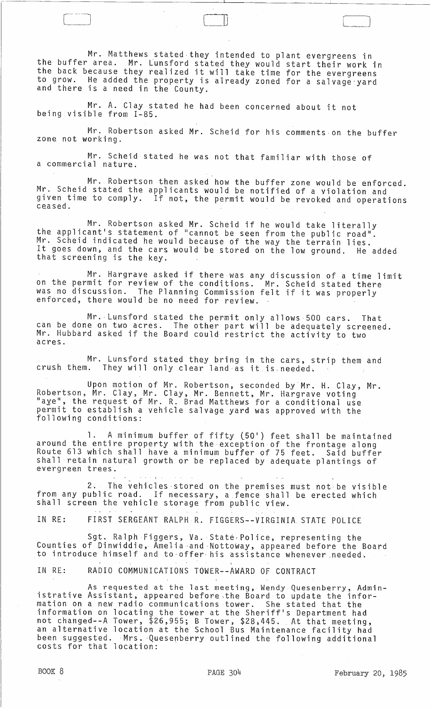Mr. Matthews stated they intended to plant evergreens in the buffer area. Mr. Lunsford stated they would start their work in the back because they realized it will take time for the evergreens to grow. He added the property is already zoned for a salvage yard<br>and there is a need in the County.

il) l

Mr. A. Clay stated he had been concerned about it not being visible from 1-85.

Mr. Robertson asked Mr. Scheid for his comments·on the buffer zone not working.

Mr. Scheid stated he was not that familiar with those of a commercial nature.

Mr. Robertson then asked how the buffer zone would be enforced. Mr. Scheid stated the applicants would be notified of a violation and given time to comply. If not, the permit would be revoked and operations<br>ceased.

Mr. Robertson asked Mr. Scheid if he would take literally<br>the applicant's statement of "cannot be seen from the public road". Mr. Scheid indicated he would because of the way the terrain lies. It goes down, and the cars would be stored on the low ground. He added that screening is the key.

Mr. Hargrave asked if there was any discussion of a time limit on the permit for review of the conditions. Mr. Scheid stated there was no discussion. The Planning Commission felt if it was properly enforced, there would be no need for review. -

Mr. Lunsford stated the permit only allows 500 cars. That can be done on two acres. The other part will be adequately screened. Mr. Hubbard asked if the Board could restrict the activity to two acres.

Mr. Lunsford stated they bring in the cars, strip them and crush them. They will only clear land-as it.is.needed~

Upon motion of Mr. Robertson, seconded by Mr. H. Clay, Mr. Robertson, Mr. Clay, Mr. Clay, Mr. Bennett, Mr. Hargrave voting "aye", the request of Mr. R. Brad Matthews for a conditional use permit to establish a vehicle salvage yard was approved with the following conditions:

1. A minimum buffer of fifty (50') feet shall be maintained around the entire property with the exception of the frontage along Route 613 which shall have a minimum buffer of 75 feet. Said buffer shall retain natural growth or be replaced by adequate plantings of evergreen trees.

2, The vehicles·stored on the premises must not·be visible from any public road. If necessary, a fence shall be erected which shall screen the vehicle storage from public view.

IN RE: FIRST SERGEANT RALPH R. FIGGERS--VIRGINIA STATE POLICE

Sgt. Ralph Figgers, Va. State Police, representing the Counties of Dinwiddie, Amelia-and Nottoway, appeared before the Board to introduce himself and to offer his assistance whenever needed.

IN RE: RADIO COMMUNICATIONS TOWER--AWARD OF CONTRACT

As requested at the last meeting, Wendy Quesenberry, Administrative Assistant, appeared before,the Board to update the information on a new radio communications tower. She stated that the information on locating the tower at the Sheriffls Department had not changed--A Tower, \$26,955; B Tower, \$28;445. At that meeting, an alternative location at the School Bus Maintenance facility had been suggested. Mrs. Quesenberry outlined the following additional costs for that location: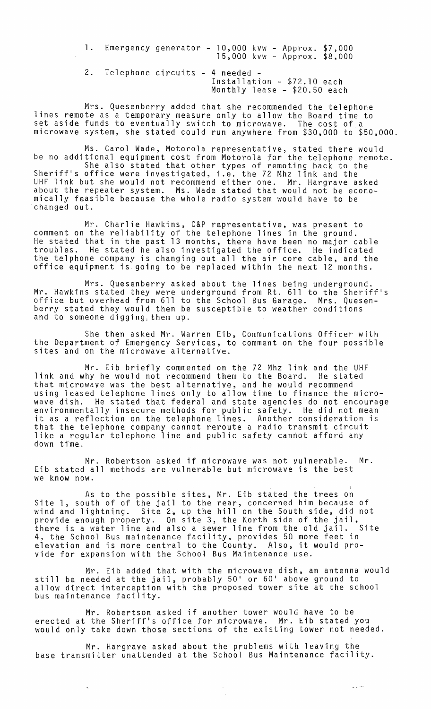1. Emergency generator - 10,000 kvw - Approx. \$7,000 15,000 kvw - Approx. \$8,000 2. Telephone circuits - 4 needed - Installation - \$72.10 each Monthly lease - \$20.50 each

Mrs. Quesenberry added that she recommended the telephone lines remote as a temporary measure only to allow the Board time to set aside funds to eventually switch to microwave. The cost of a microwave system, she stated could run anywhere from \$30,000 to \$50,000.

Ms. Carol Wade, Motorola representative, stated there would be no additional equipment cost from Motorola for the telephone remote. She also stated that other types of remoting back to the Sheriff's office were investigated, i.e. the 72 Mhz link and the UHF link but she would not recommend either one. Mr. Hargrave asked about the repeater system. Ms. Wade stated that would not be economically feasible because the whole radio system would have to be 'changed out.

Mr. Charlie Hawkins, C&P representative, was present to comment on the reliability of the telephone lines in the ground. He stated that in the past 13 months, there have been no major cable troubles. He stated he also investigated the office. He indicated the telphone company is changing out all the air core cable, and the office equipment is going to be replaced within the next 12 months.

Mrs. Quesenberry asked about the lines being underground. Mr. Hawkins stated they were underground from Rt. 611 to the Sheriff's office but overhead from 611 to the School Bus Garage. Mrs. Quesenberry stated they would then be susceptible to weather conditions and to someone digging,them up.

She then asked Mr. Warren Eib, Communications Officer with the Department of Emergency Services, to comment on the four possible sites and on the microwave alternative.

Mr. Eib briefly commented on the 72 Mhz link and the UHF link and why he would not recommend them to the Board. He stated that microwave was the best alternative, and he would recommend using leased telephone lines only to allow time to finance the microwave dish. He stated that federal and state agencies do not encourage environmentally insecure methods for public safety. He did not mean it as a reflection on the telephone lines. Another consideration is that the telephone company cannot reroute a radio transmit circuit like a regular telephone line and public safety cannot afford any down time.

Mr. Robertson asked if microwave was not vulnerable. Mr. Eib stated all methods are vulnerable but microwave is the best we know now.

As to the possible sites, Mr. Eib stated the trees on Site 1, south of of the jail to the rear, concerned him because of wind and lightning. Site 2~ up the hill on the South side, did not provide enough property. On site 3, the North side of the jail, there is a water line and also a sewer line from the old jail. Site 4, the School Bus maintenance facility, provides 50 more feet in elevation and is more central to the County. Also, it would proelevation and is more central to the County. Also, it would pro-<br>vide for expansion with the School Bus Maintenance use.

Mr. Eib added that with the microwave dish, an antenna would still be needed at the jail, probably 50' or 60' above ground to allow direct interception with the proposed tower site at the school bus maintenance facility.

Mr. Robertson asked if another tower would have to be erected at the Sheriff's office for microwave. Mr. Eib stated you would only take down those sections of the existing tower not needed.

Mr. Hargrave asked about the problems with leaving the base transmitter unattended at the School Bus Maintenance facility.

 $\omega_{\rm{eff}}$  and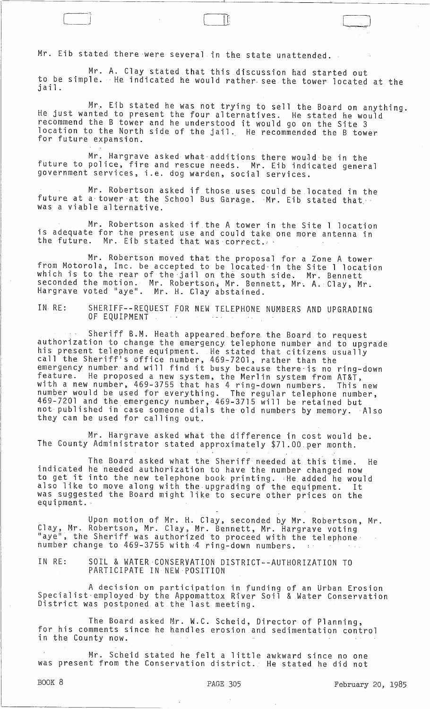Mr. Eib stated there were several in the state unattended.

Mr. A. Clay stated that this discussion had started out to be simple. He indicated he would rather see the tower located at the jail .

 $\mathbb{I}$   $\mathbb{L}$ 

Mr. Eib stated he Was not trying to sell the Board on anything. He just wanted to present the four alternatives. He stated he would recommend the B tower and he understood it would go on the Site 3 location to the North side of the jail. He recommended the B tower for future expansion.

Mr. Hargrave asked what additions there would be in the future to police, fire and rescue needs. Mr. Eib indicated general government services, i.e. dog warden, social services.

Mr. Robertson asked if those. uses could be located in the future at a tower at the School Bus Garage. Mr. Eib stated that. was a viable alternative.

Mr. Robertson asked if the A tower in the Site 1 location is adequate for the present use and could take one more antenna in<br>the future. Mr. Eib stated that was correct.  $Mr.$  Eib stated that was correct.

Mr. Robertson moved that the proposal for a Zone A tower from Motorola, Inc. be accepted to be located'in the Site 1 location which is to the rear of the jail on the south side. Mr. Bennett seconded the motion. Mr. Robertson, Mr. Bennett, Mr. A. Clay, Mr. Hargrave voted "aye". Mr. H. Clay abstained.

IN RE: SHERIFF--REQUEST FOR NEW TELEPHONE NUMBERS AND UPGRADING OF EQUIPMENT

Sheriff B.M. Heath appeared before the Board to request authorization to change the emergency telephone number and to upgrade his present telephone equipment. He stated that citizens usually and the Sheriff's office number, 469-7201, rather than the eart end shertly shortlee humber, 409-7201, Pacher chan the<br>emergency number and will find it busy because there is no ring-down feature. He proposed a new system, the Merlin system from AT&T, with a new number, 469-3755 that has 4 ring-down numbers. This new number would be used for everything. The regular telephone number, 469-7201 and the emergency number, 469-3715 will be retained but not published in case someone dials the old numbers by memory. Also they can be used for calling out.

Mr. Hargrave asked what the difference in cost would be. The County Administrator stated approximately \$71.00 per month.

The Board asked what the Sheriff needed at this time. He indicated he needed authorization to have the number changed now the cated he heeded authorization to have the humber changed now<br>to get it into the new telephone book printing. :He added he would also like to move along with the upgrading of the equipment. It was suggested the Board might like to secure other prices on the equipment. '

Upon motion of Mr. H. Clay, seconded by Mr. Robertson, Mr. Clay, Mr. Robertson, Mr. Clay, Mr. Bennett, Mr. Hargrave voting "aye", the Sheriff was authorized to proceed with the telephonenumber change to 469-3755 with 4 ring-down numbers.

IN RE: SOIL & WATER·CONSERVATION DISTRICT--AUTHORIZATION TO PARTICIPATE IN NEW-POSITION

A decision on participation in funding of an Urban Erosion Specialist·employed by the Appomattox River Soil & Water Conservation District was postponed at the last meeting.

The Board asked Mr. W.C. Scheid, Director of Planning, for his comments since he handles erosion and sedimentation control in the County now.

Mr. Scheid stated he felt a little awkward since no one was present from the Conservation district. He stated he did not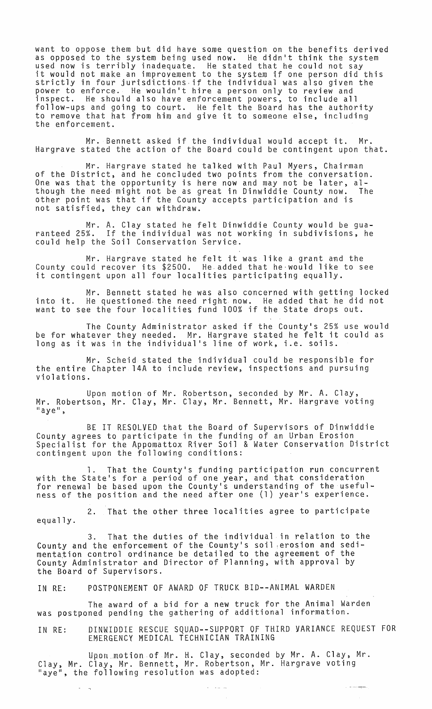want to oppose them but did have some question on the benefits derived as opposed to the system being used now. He didn't think the system<br>used now is terribly inadequate. He stated that he could not say it would not make an improvement to the system if one person did this strictly in four jurisdictions.if the individual was also given the power to enforce. He wouldn't hire a person only to review and inspect. He should also have enforcement powers, to include all follow-ups and going to court. He felt the Board has the authority to remove that hat from him and give it to someone else, including<br>the enforcement.

Mr. Bennett asked if the individual would accept it. Mr. Hargrave stated the action of the Board could be contingent upon that.

Mr. Hargrave stated he talked with Paul Myers, Chairman of the District, and he concluded two points from the conversation. One was that the opportunity is here now and may not be later, although the need might not be as great in Dinwiddie County now. The other point was that if the County accepts participation and is not satisfied, they can withdraw.

Mr. A. Clay stated he felt Dinwiddie County would be guaranteed 25%. If the individual was not working in subdivisions, he could help the Soil Conservation Service.

Mr. Hargrave stated he felt it was like a grant and the County could recover its \$2500. He.added that he·would like to see it contingent upon all four localities participating equally.

Mr. Bennett stated he was also concerned with getting locked into it. He questioned. the need right now. He added that he did not want to see the four localities fund 100% if the State drops out.

The County Administrator asked if the Countyls 25% use would be for whatever they needed. Mr. Hargrave stated he felt it could as be for whatever they heeded: Bir, hargrave stated he reft it<br>long as it was in the individual's line of work, i.e. soils.

Mr. Scheid stated the individual could be responsible for the entire Chapter l4A to include review, inspections and pursuing violations.

Upon motion of Mr. Robertson, seconded by Mr. A. Clay, Mr. Robertson, Mr. Clay, Mr. Clay, Mr. Bennett, Mr. Hargrave voting<br>"aye",

BE IT RESOLVED that the Board of Supervisors of Dinwiddie County agrees to participate in the funding of an Urban Erosion Specialist for the Appomattox River Soil & Water Conservation District contingent upon the following conditions:

That the County's funding participation run concurrent with the State's for a period of one year, and that consideration for renewal be based upon the Countyls understanding of the usefulness of the position and the need after one (1) yearls experience.

2. That the other three localities agree to participate equally.

3. That the duties of the individual in relation to the County and the enforcement of the Countyls soil ,erosion and sedimentation control ordinance be detailed to the agreement of the County Administrator and Director of Planning, with approval by the Board of Supervisors.

IN RE: POSTPONEMENT OF AWARD OF TRUCK BID--ANIMAL WARDEN

The award of a bid for a new truck for the Animal Warden was postponed pending the gathering of additional information.

IN RE: DINWIDDIE RESCUE SQUAD--SUPPORT OF THIRD VARIANCE REQUEST FOR EMERGENCY MEDICAL TECHNICIAN TRAINING

Upon motion of Mr. H. Clay, seconded by Mr. A. Clay, Mr. Clay, Mr. Clay, Mr. Bennett, Mr. Robertson, Mr. Hargrave voting lIaye tl , the following resolution was adopted: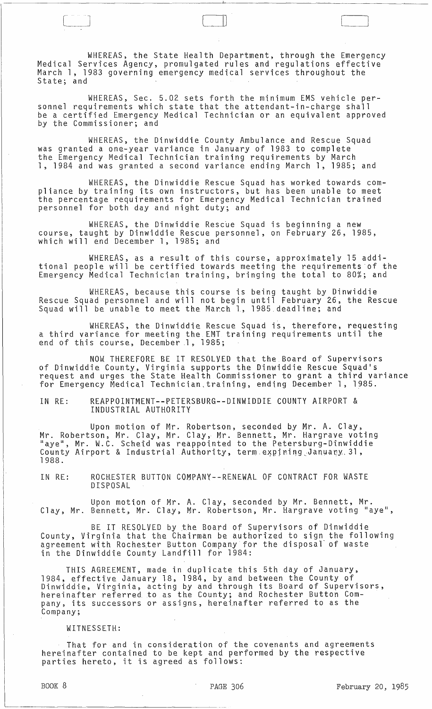WHEREAS, the State Health Department, through the Emergency Medical Services Agency, promulgated rules and regulations effective March 1, 1983 governing emergency medical services throughout the State; and

III

WHEREAS, Sec. 5.02 sets forth the minimum EMS vehicle personnel requirements which state that the attendant-in-charge shall be a certified Emergency Medical Technician or an equivalent approved by the Commissioner; and

WHEREAS, the Dinwiddie County Ambulance and Rescue Squad was granted a one-year variance in January of 1983 to complete the Emergency Medical Technician training requirements by March 1, 1984 and was granted a second variance ending March 1, 1985; and

WHEREAS, the Dinwiddie Rescue Squad has worked towards compliance by training its own instructors, but has been unable to meet the percentage requirements for Emergency Medical Technician trained personnel for both day and night duty; and

WHEREAS, the Dinwiddie Rescue Squad is beginning a new course, taught by Dinwiddie Rescue personnel, on February 26, 1985, which will end December 1, 1985; and

WHEREAS, as a result of this course, approximately 15 additional people will be certified towards meeting the requirements 'of the Emergency Medical Technician training, bringing the total to 80%; and

WHEREAS, because this course is being taught by Dinwiddie Rescue Squad personnel and will not begin until February 26, the Rescue Squad will be unable to meet the March 1, 1985 deadline; and

WHEREAS, the Dinwiddie Rescue Squad is, therefore, requesting a third variance for meeting the EMT training requirements until the end of this course, December 1, 1985;

NOW THEREFORE BE IT RESOLVED that the Board of Supervisors of Dinwiddie County, Virginia supports the Dinwiddie Rescue Squad's request and urges the State Health Commissioner to grant a third variance for Emergency Medical Technician, training, ending December 1, 1985.

IN RE: REAPPOINTMENT--PETERSBURG--DINWIDDIE COUNTY AIRPORT & INDUSTRIAL AUTHORITY

Upon motion of Mr. Robertson, seconded by Mr. A. Clay, Mr. Robertson, Mr. Clay, Mr. Clay, Mr. Bennett, Mr. Hargrave voting "aye", Mr. W.C. Scheid was reappointed to the Petersburg-Dinwiddie County Airport & Industrial Authority, term expiring January.31, 1988.

IN RE: ROCHESTER BUTTON COMPANY--RENEWAL OF CONTRACT FOR WASTE DISPOSAL

Upon motion of Mr. A. Clay, seconded by Mr. Bennett, Mr. Clay, Mr. Bennett, Mr. Clay, Mr. Robertson, Mr. Hargrave voting "aye",

BE IT RESOLVED by the Board of Supervisors of Dinwiddie County, Virginia that the Chairman be authorized to sign the following agreement with Rochester Button Company for the disposal of waste in the Dinwiddie County Landfill for 1984:

THIS AGREEMENT, made in duplicate this 5th day of January, 1984, effective January 18, 1984, by and between the County of Dinwiddie, Virginia, acting by and through its Board of Supervisors, hereinafter referred to as the County; and Rochester Button Comnerernarter referred to as the county, and nothester baccon comm<br>pany, its successors or assigns, hereinafter referred to as the Company;

## WITNESSETH:

That for and in consideration of the covenants and agreements hereinafter contained to be kept and performed by the respective parties hereto, it is agreed as follows: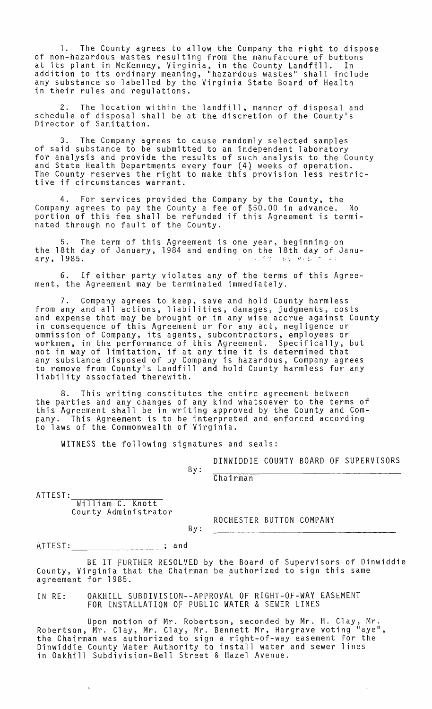1. The County agrees to allow the Company the right to dispose of non-hazardous wastes resulting from the manufacture of buttons at its plant in McKenney, Virginia, in the County Landfill. In addition to its ordinary meaning, "hazardous wastes" shall include any substance so labelled by the Virginia State Board of Health in their rules and regulations.

2. The location within the landfill, manner of disposal and schedule of disposal shall be at the discretion of the County's<br>Director of Sanitation.

3. The Company agrees to cause randomly selected samples of said substance to be submitted to an independent laboratory for analysis and provide the results of such analysis to the County and State Health Departments every four (4) weeks of operation. The County reserves the right to make this provision less restrictive if circumstances warrant.

4. For services provided the Company by the County, the Company agrees to pay the County a fee of \$50.00 in advance. No portion of this fee shall be refunded if this Agreement is terminated through no fault of the County.

5. The term of this Agreement is one year, beginning on the 18th day of January, 1984 and ending on the 18th day of January, 1985. <sup>21</sup> can say y foot and one my the room any of the results of the same of the same of the same of the same of the same of the same of the same of the same of the same of the same of the same of the same of the s

6. If either party violates any of the terms of this Agreement, the Agreement may be terminated immediately.

7. Company agrees to keep, save and hold County harmless from any and all actions, liabilities, damages, judgments, costs and expense that may be brought or in any wise accrue against County in consequence of this Agreement or for any act, negligence or ommission of Company, its agents, subcontractors, employees or workmen, in the performance of this Agreement. Specifically, but not in way of limitation, if at any time it is determined that any substance disposed of by Company is hazardous, Company agrees to remove from County's Landfill and hold County harmless for any liability associated therewith.

8. This writing constitutes the entire agreement between the parties and any changes of any kind whatsoever to the terms of this Agreement shall be in writing approved by the County and Company. This Agreement is to be interpreted and enforced according to laws of the Commonwealth of Virginia.

WITNESS the following signatures and seals:

DINWIDDIE COUNTY BOARD OF SUPERVISORS

By: Chairman

ATTEST:<br>william C. Knott County Administrator

By:

ROCHESTER BUTTON COMPANY

ATTEST: \_\_\_\_\_\_\_\_\_\_\_\_\_\_\_\_\_\_\_\_\_\_; and

BE IT FURTHER RESOLVED by the Board of Supervisors of Dinwiddie County, Virginia that the Chairman be authorized to sign this same agreement for 1985. .

IN RE: OAKHILL SUBDIVISION--APPROVAL Of RIGHT-Of-WAY EASEMENT FOR INSTALLATION Of PUBLIC WATER & SEWER LINES

Upon motion of Mr. Robertson, seconded by Mr. H. Clay, Mr. Robertson, Mr. Clay, Mr. Clay, Mr. Bennett Mr, Hargrave voting "aye", the Chairman was authorized to sign a right-of-way easement for the Dinwiddie County Water Authority to install water and sewer lines in Oakhill Subdivision-Bell Street & Hazel Avenue.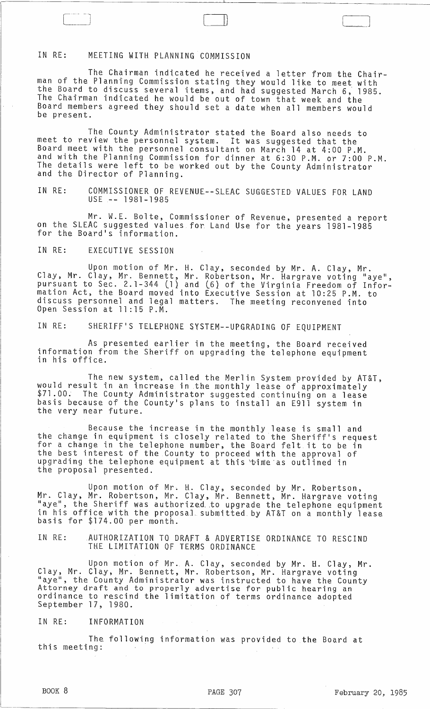## IN RE: MEETING WITH PLANNING COMMISSION

The Chairman indicated he received a letter from the Chairman of the Planning Commission stating they would like to meet with the Board to discuss several items, and had suggested March 6, 1985. The Chairman indicated he would be out of town that week and the Board members agreed they should set a date when all members would be present.

 $\sqcup$ 

The County Administrator stated the Board also needs to meet to review the personnel system. It was suggested that the Board meet with the personnel consultant on March 14 at 4:00 P.M. and with the Planning Commission for dinner at 6:30 P.M. or 7:00 P.M. The details were left to be worked out by the County Administrator and the Director of Planning.

IN RE: COMMISSIONER OF REVENUE--SLEAC SUGGESTED VALUES FOR LAND USE -- 1981-1985

Mr. W.E. Bolte, Commissioner of Revenue, presented a report on the SLEAC suggested values for Land Use for the years 1981-1985 for the Board's information.

IN RE: EXECUTIVE SESSION

Upon motion of Mr. H. Clay, seconded by Mr. A. Clay, Mr. Clay, Mr. Clay, Mr. Bennett, Mr. Robertson, Mr. Hargrave voting "aye", pursuant to Sec. 2.1-344 (1) and (61 of the Virginia Freedom of Information Act, the Board moved into Executive Session at 10:25 P.M. to discuss personnel and legal matters. The meeting reconvened into Open Session at 11:15 P.M.

IN RE: SHERIFF1S TELEPHONE SYSTEM--UPGRADING *OF* EQUIPMENT

As presented earlier in the meeting, the Board received information from the Sheriff on upgrading the telephone equipment<br>in his office.

The new system, called the Merlin System provided by AT&T,<br>would result in an increase in the monthly lease of approximately \$71.00. The County Administrator suggested continuing on a lease basis because of the County1s plans to install an E911 system in the very near future.

Because the increase in the monthly lease is small and the change in equipment is closely related to the Sheriff's request for a change in the telephone number, the Board felt it to be in the best interest of the County to proceed with the approval of upgrading the telephone equipment at this time as outlined in the proposal presented.

Upon motion of Mr~ H. Clay, seconded by Mr. Robertson, Mr. Clay, Mr. Robertson, Mr. Clay, Mr. Bennett, Mr. Hargrave voting "aye", the Sheriff was authorized to upgrade the telephone equipment in his office with the proposal. submitted. by AT&T on a monthly lease basis for \$174.00 per month.

IN RE: AUTHORIZATION TO DRAFT & ADVERTISE ORDINANCE TO RESCIND THE LIMITATION OF TERMS ORDINANCE

Upon motion of Mr. A. Clay, seconded by Mr. H. Clay, Mr. Clay, Mr. Clay, Mr. Bennett, Mr. Robertson, Mr. Hargrave voting "aye", the County Administrator was instructed to have the County Attorney draft and to properly advertise for public hearing an ordinance to rescind the limitation of terms ordinance adopted September 17, 1980.

IN RE: INFORMATION

~-----~----------------------------------------------

The following information was provided to the Board at this meeting: